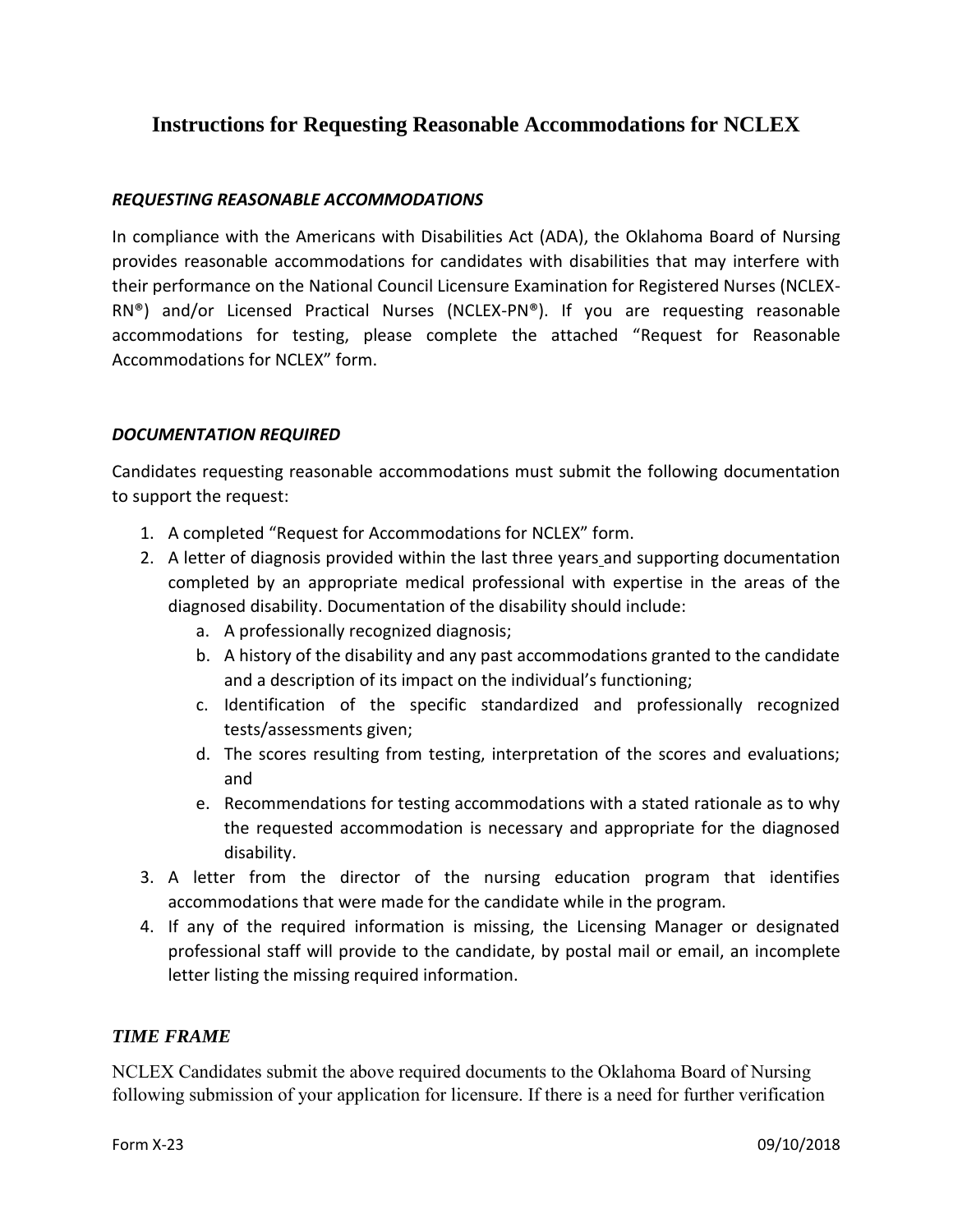# **Instructions for Requesting Reasonable Accommodations for NCLEX**

### *REQUESTING REASONABLE ACCOMMODATIONS*

In compliance with the Americans with Disabilities Act (ADA), the Oklahoma Board of Nursing provides reasonable accommodations for candidates with disabilities that may interfere with their performance on the National Council Licensure Examination for Registered Nurses (NCLEX-RN®) and/or Licensed Practical Nurses (NCLEX-PN®). If you are requesting reasonable accommodations for testing, please complete the attached "Request for Reasonable Accommodations for NCLEX" form.

#### *DOCUMENTATION REQUIRED*

Candidates requesting reasonable accommodations must submit the following documentation to support the request:

- 1. A completed "Request for Accommodations for NCLEX" form.
- 2. A letter of diagnosis provided within the last three years and supporting documentation completed by an appropriate medical professional with expertise in the areas of the diagnosed disability. Documentation of the disability should include:
	- a. A professionally recognized diagnosis;
	- b. A history of the disability and any past accommodations granted to the candidate and a description of its impact on the individual's functioning;
	- c. Identification of the specific standardized and professionally recognized tests/assessments given;
	- d. The scores resulting from testing, interpretation of the scores and evaluations; and
	- e. Recommendations for testing accommodations with a stated rationale as to why the requested accommodation is necessary and appropriate for the diagnosed disability.
- 3. A letter from the director of the nursing education program that identifies accommodations that were made for the candidate while in the program.
- 4. If any of the required information is missing, the Licensing Manager or designated professional staff will provide to the candidate, by postal mail or email, an incomplete letter listing the missing required information.

## *TIME FRAME*

NCLEX Candidates submit the above required documents to the Oklahoma Board of Nursing following submission of your application for licensure. If there is a need for further verification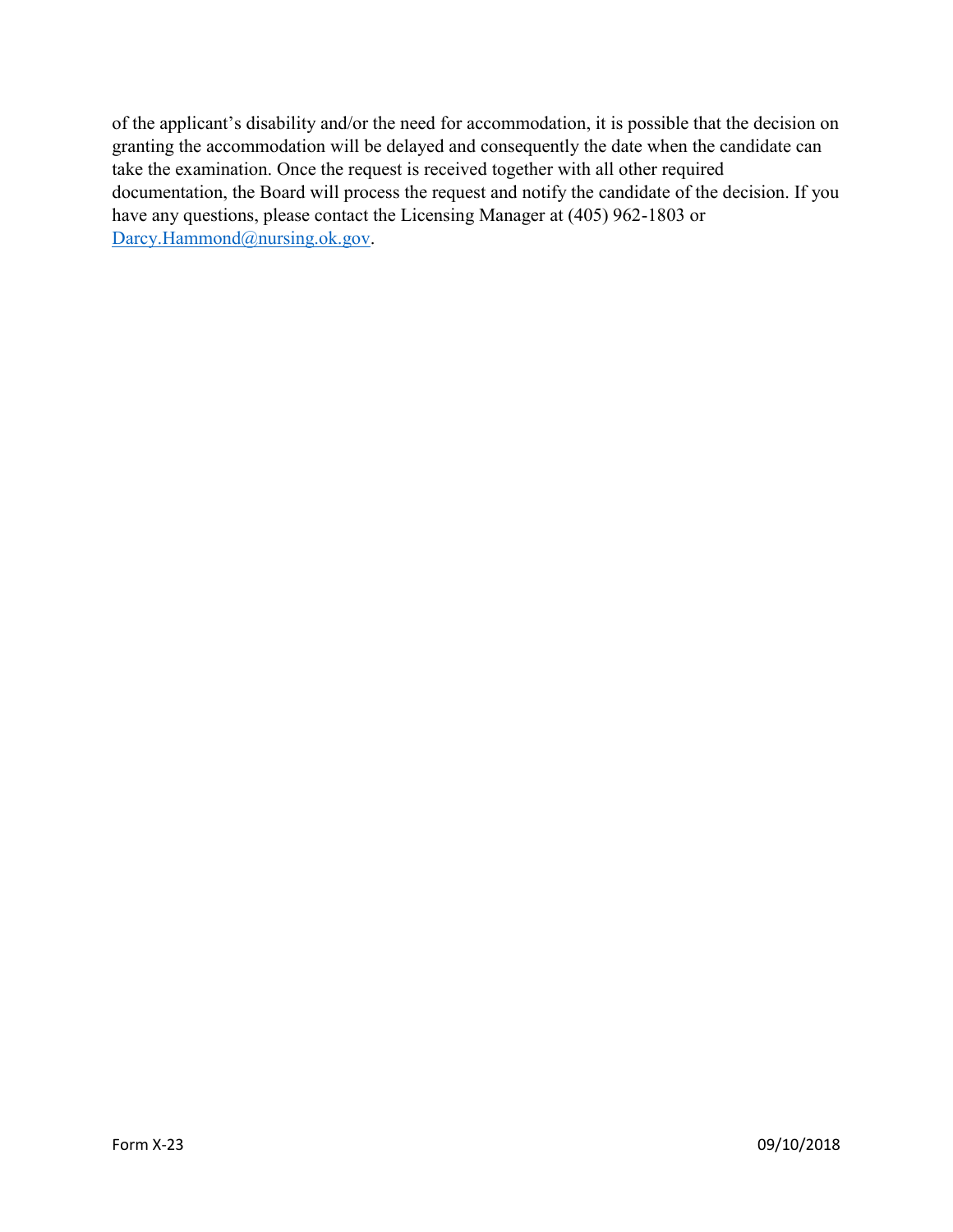of the applicant's disability and/or the need for accommodation, it is possible that the decision on granting the accommodation will be delayed and consequently the date when the candidate can take the examination. Once the request is received together with all other required documentation, the Board will process the request and notify the candidate of the decision. If you have any questions, please contact the Licensing Manager at (405) 962-1803 or [Darcy.Hammond@nursing.ok.gov.](mailto:Darcy.Hammond@nursing.ok.gov)